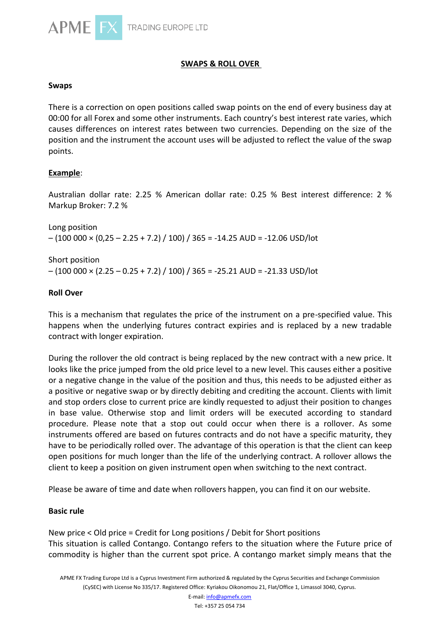

# **SWAPS & ROLL OVER**

### **Swaps**

There is a correction on open positions called swap points on the end of every business day at 00:00 for all Forex and some other instruments. Each country's best interest rate varies, which causes differences on interest rates between two currencies. Depending on the size of the position and the instrument the account uses will be adjusted to reflect the value of the swap points.

## **Example**:

Australian dollar rate: 2.25 % American dollar rate: 0.25 % Best interest difference: 2 % Markup Broker: 7.2 %

Long position  $- (100\,000 \times (0.25 - 2.25 + 7.2) / 100) / 365 = -14.25 \text{ AUD} = -12.06 \text{ USD/lot}$ 

Short position  $-$  (100 000  $\times$  (2.25 – 0.25 + 7.2) / 100) / 365 = -25.21 AUD = -21.33 USD/lot

### **Roll Over**

This is a mechanism that regulates the price of the instrument on a pre-specified value. This happens when the underlying futures contract expiries and is replaced by a new tradable contract with longer expiration.

During the rollover the old contract is being replaced by the new contract with a new price. It looks like the price jumped from the old price level to a new level. This causes either a positive or a negative change in the value of the position and thus, this needs to be adjusted either as a positive or negative swap or by directly debiting and crediting the account. Clients with limit and stop orders close to current price are kindly requested to adjust their position to changes in base value. Otherwise stop and limit orders will be executed according to standard procedure. Please note that a stop out could occur when there is a rollover. As some instruments offered are based on futures contracts and do not have a specific maturity, they have to be periodically rolled over. The advantage of this operation is that the client can keep open positions for much longer than the life of the underlying contract. A rollover allows the client to keep a position on given instrument open when switching to the next contract.

Please be aware of time and date when rollovers happen, you can find it on our website.

## **Basic rule**

New price < Old price = Credit for Long positions / Debit for Short positions This situation is called Contango. Contango refers to the situation where the Future price of commodity is higher than the current spot price. A contango market simply means that the

APME FX Trading Europe Ltd is a Cyprus Investment Firm authorized & regulated by the Cyprus Securities and Exchange Commission (CySEC) with License No 335/17. Registered Office: Kyriakou Oikonomou 21, Flat/Office 1, Limassol 3040, Cyprus.